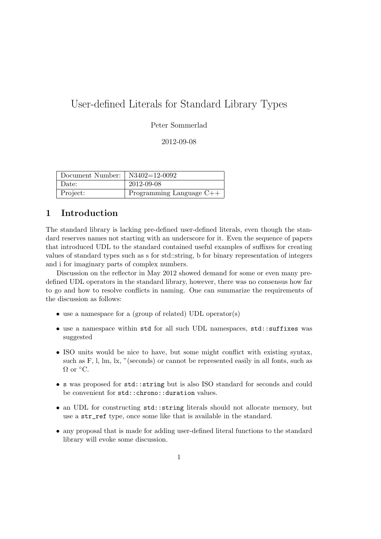# User-defined Literals for Standard Library Types

#### Peter Sommerlad

#### 2012-09-08

| Document Number: $\vert$ N3402=12-0092 |                            |
|----------------------------------------|----------------------------|
| Date:                                  | 2012-09-08                 |
| Project:                               | Programming Language $C++$ |

## 1 Introduction

The standard library is lacking pre-defined user-defined literals, even though the standard reserves names not starting with an underscore for it. Even the sequence of papers that introduced UDL to the standard contained useful examples of suffixes for creating values of standard types such as s for std::string, b for binary representation of integers and i for imaginary parts of complex numbers.

Discussion on the reflector in May 2012 showed demand for some or even many predefined UDL operators in the standard library, however, there was no consensus how far to go and how to resolve conflicts in naming. One can summarize the requirements of the discussion as follows:

- use a namespace for a (group of related) UDL operator(s)
- use a namespace within std for all such UDL namespaces, std::suffixes was suggested
- ISO units would be nice to have, but some might conflict with existing syntax, such as F, l, lm, lx, "(seconds) or cannot be represented easily in all fonts, such as  $\Omega$  or  $\mathrm{^{\circ}C}$ .
- s was proposed for std::string but is also ISO standard for seconds and could be convenient for std::chrono::duration values.
- an UDL for constructing std::string literals should not allocate memory, but use a str\_ref type, once some like that is available in the standard.
- any proposal that is made for adding user-defined literal functions to the standard library will evoke some discussion.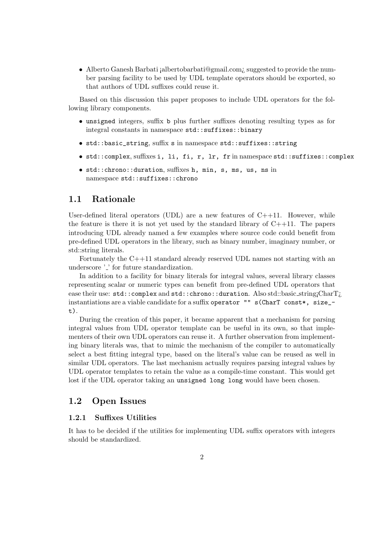• Alberto Ganesh Barbati ¡albertobarbati@gmail.com¿ suggested to provide the number parsing facility to be used by UDL template operators should be exported, so that authors of UDL suffixes could reuse it.

Based on this discussion this paper proposes to include UDL operators for the following library components.

- unsigned integers, suffix b plus further suffixes denoting resulting types as for integral constants in namespace std::suffixes::binary
- std::basic\_string, suffix s in namespace std::suffixes::string
- std::complex, suffixes i, li, fi, r, lr, fr in namespace std::suffixes::complex
- std::chrono::duration, suffixes h, min, s, ms, us, ns in namespace std::suffixes::chrono

#### 1.1 Rationale

User-defined literal operators (UDL) are a new features of  $C++11$ . However, while the feature is there it is not yet used by the standard library of  $C_{++11}$ . The papers introducing UDL already named a few examples where source code could benefit from pre-defined UDL operators in the library, such as binary number, imaginary number, or std::string literals.

Fortunately the C++11 standard already reserved UDL names not starting with an underscore '.' for future standardization.

In addition to a facility for binary literals for integral values, several library classes representing scalar or numeric types can benefit from pre-defined UDL operators that ease their use: std::complex and std::chrono::duration. Also std::basic\_string;CharT; instantiations are a viable candidate for a suffix operator "" s(CharT const\*, size\_ t).

During the creation of this paper, it became apparent that a mechanism for parsing integral values from UDL operator template can be useful in its own, so that implementers of their own UDL operators can reuse it. A further observation from implementing binary literals was, that to mimic the mechanism of the compiler to automatically select a best fitting integral type, based on the literal's value can be reused as well in similar UDL operators. The last mechanism actually requires parsing integral values by UDL operator templates to retain the value as a compile-time constant. This would get lost if the UDL operator taking an unsigned long long would have been chosen.

#### 1.2 Open Issues

#### 1.2.1 Suffixes Utilities

It has to be decided if the utilities for implementing UDL suffix operators with integers should be standardized.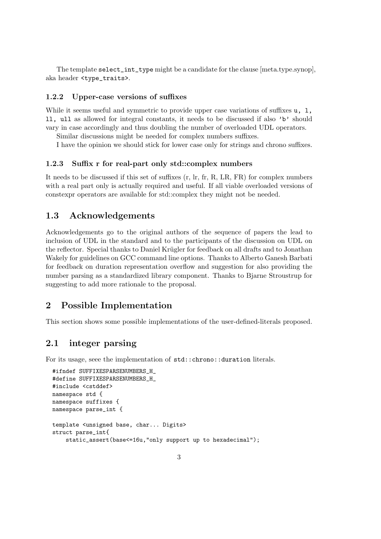The template select\_int\_type might be a candidate for the clause [meta.type.synop], aka header <type\_traits>.

#### 1.2.2 Upper-case versions of suffixes

While it seems useful and symmetric to provide upper case variations of suffixes  $u$ , 1, ll, ull as allowed for integral constants, it needs to be discussed if also 'b' should vary in case accordingly and thus doubling the number of overloaded UDL operators.

Similar discussions might be needed for complex numbers suffixes.

I have the opinion we should stick for lower case only for strings and chrono suffixes.

#### 1.2.3 Suffix r for real-part only std::complex numbers

It needs to be discussed if this set of suffixes (r, lr, fr, R, LR, FR) for complex numbers with a real part only is actually required and useful. If all viable overloaded versions of constexpr operators are available for std::complex they might not be needed.

#### 1.3 Acknowledgements

Acknowledgements go to the original authors of the sequence of papers the lead to inclusion of UDL in the standard and to the participants of the discussion on UDL on the reflector. Special thanks to Daniel Krügler for feedback on all drafts and to Jonathan Wakely for guidelines on GCC command line options. Thanks to Alberto Ganesh Barbati for feedback on duration representation overflow and suggestion for also providing the number parsing as a standardized library component. Thanks to Bjarne Stroustrup for suggesting to add more rationale to the proposal.

#### 2 Possible Implementation

This section shows some possible implementations of the user-defined-literals proposed.

#### 2.1 integer parsing

For its usage, seee the implementation of std::chrono::duration literals.

```
#ifndef SUFFIXESPARSENUMBERS_H_
#define SUFFIXESPARSENUMBERS H
#include <cstddef>
namespace std {
namespace suffixes {
namespace parse_int {
template <unsigned base, char... Digits>
struct parse_int{
    static_assert(base<=16u,"only support up to hexadecimal");
```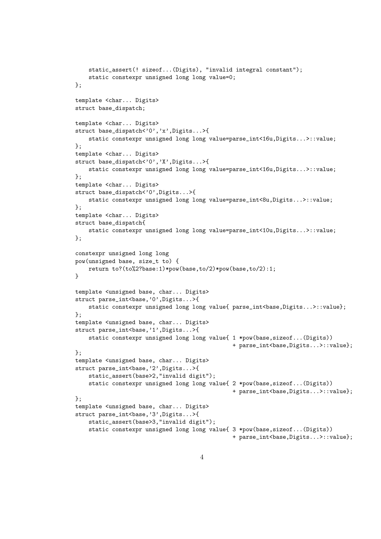```
static_assert(! sizeof...(Digits), "invalid integral constant");
    static constexpr unsigned long long value=0;
};
template <char... Digits>
struct base_dispatch;
template <char... Digits>
struct base_dispatch<'0','x',Digits...>{
    static constexpr unsigned long long value=parse_int<16u,Digits...>::value;
};
template <char... Digits>
struct base_dispatch<'0','X',Digits...>{
    static constexpr unsigned long long value=parse_int<16u,Digits...>::value;
};
template <char... Digits>
struct base_dispatch<'0',Digits...>{
    static constexpr unsigned long long value=parse_int<8u,Digits...>::value;
};
template <char... Digits>
struct base dispatch{
    static constexpr unsigned long long value=parse_int<10u,Digits...>::value;
};
constexpr unsigned long long
pow(unsigned base, size_t to) {
    return to?(to%2?base:1)*pow(base,to/2)*pow(base,to/2):1;
}
template <unsigned base, char... Digits>
struct parse_int<br/>base,'0',Digits...>{
    static constexpr unsigned long long value{ parse_int<br/>base,Digits...>::value};
};
template <unsigned base, char... Digits>
struct parse_int<br/>base,'1',Digits...>{
    static constexpr unsigned long long value{ 1 *pow(base,sizeof...(Digits))
                                                + parse_int<br/>base,Digits...>::value};
};
template <unsigned base, char... Digits>
struct parse_int<br/>base,'2',Digits...>{
    static_assert(base>2,"invalid digit");
    static constexpr unsigned long long value{ 2 *pow(base,sizeof...(Digits))
                                                + parse_int<base,Digits...>::value};
};
template <unsigned base, char... Digits>
struct parse_int<br/>base,'3',Digits...>{
    static_assert(base>3,"invalid digit");
    static constexpr unsigned long long value{ 3 *pow(base,sizeof...(Digits))
                                                + parse_int<br/>base,Digits...>::value};
```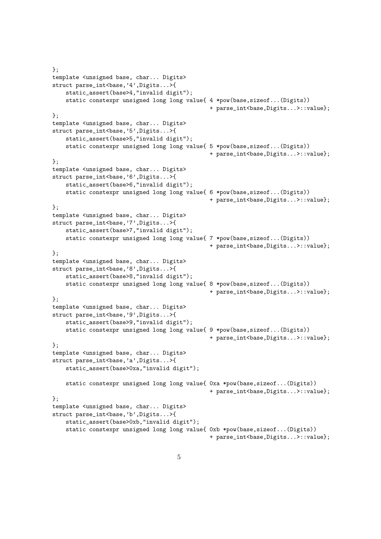```
};
template <unsigned base, char... Digits>
struct parse_int<br/>base,'4',Digits...>{
    static_assert(base>4,"invalid digit");
    static constexpr unsigned long long value{ 4 *pow(base,sizeof...(Digits))
                                                + parse_int<base,Digits...>::value};
};
template <unsigned base, char... Digits>
struct parse_int<br/>base,'5',Digits...>{
    static_assert(base>5,"invalid digit");
    static constexpr unsigned long long value{ 5 *pow(base,sizeof...(Digits))
                                                 + parse_int<br/>base,Digits...>::value};
};
template <unsigned base, char... Digits>
struct parse_int<br/>base,'6',Digits...>{
    static_assert(base>6,"invalid digit");
    static constexpr unsigned long long value{ 6 *pow(base,sizeof...(Digits))
                                                + parse_int<br/>base,Digits...>::value};
};
template <unsigned base, char... Digits>
struct parse_int<br/>base,'7',Digits...>{
    static_assert(base>7,"invalid digit");
    static constexpr unsigned long long value{ 7 *pow(base,sizeof...(Digits))
                                                 + parse_int<br/>base,Digits...>::value};
};
template <unsigned base, char... Digits>
struct parse_int<br/>base,'8',Digits...>{
    static_assert(base>8,"invalid digit");
    static constexpr unsigned long long value{ 8 *pow(base,sizeof...(Digits))
                                                + parse_int<base,Digits...>::value};
};
template <unsigned base, char... Digits>
struct parse_int<base,'9',Digits...>{
    static_assert(base>9,"invalid digit");
    static constexpr unsigned long long value{ 9 *pow(base,sizeof...(Digits))
                                                + parse_int<base,Digits...>::value};
};
template <unsigned base, char... Digits>
struct parse_int<br/>base,'a',Digits...>{
    static_assert(base>0xa,"invalid digit");
    static constexpr unsigned long long value{ 0xa *pow(base,sizeof...(Digits))
                                                 + parse_int<base,Digits...>::value};
};
template <unsigned base, char... Digits>
struct parse_int<br/>base,'b',Digits...>{
    static_assert(base>0xb,"invalid digit");
    static constexpr unsigned long long value{ 0xb *pow(base,sizeof...(Digits))
                                                + parse_int<br/>base,Digits...>::value};
```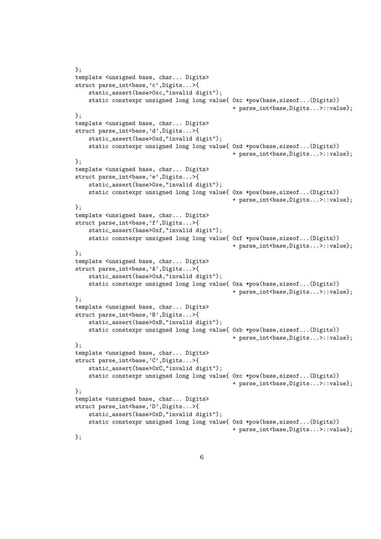```
};
template <unsigned base, char... Digits>
struct parse_int<base,'c',Digits...>{
    static_assert(base>0xc,"invalid digit");
    static constexpr unsigned long long value{ 0xc *pow(base,sizeof...(Digits))
                                                 + parse_int<base,Digits...>::value};
};
template <unsigned base, char... Digits>
struct parse_int<br/>base,'d',Digits...>{
    static_assert(base>0xd,"invalid digit");
    static constexpr unsigned long long value{ 0xd *pow(base,sizeof...(Digits))
                                                 + parse_int<br/>base,Digits...>::value};
};
template <unsigned base, char... Digits>
struct parse_int<br/>base,'e',Digits...>{
    static_assert(base>0xe,"invalid digit");
    static constexpr unsigned long long value{ 0xe *pow(base,sizeof...(Digits))
                                                 + parse_int<br/>base,Digits...>::value};
\}:
template <unsigned base, char... Digits>
struct parse_int<br/>base,'f',Digits...>{
    static_assert(base>0xf,"invalid digit");
    static constexpr unsigned long long value{ 0xf *pow(base,sizeof...(Digits))
                                                 + parse_int<base,Digits...>::value};
};
template <unsigned base, char... Digits>
struct parse_int<br/>base,'A',Digits...>{
    static_assert(base>0xA,"invalid digit");
    static constexpr unsigned long long value{ 0xa *pow(base,sizeof...(Digits))
                                                 + parse_int<base,Digits...>::value};
};
template <unsigned base, char... Digits>
struct parse_int<br/>base,'B',Digits...>{
    static_assert(base>0xB,"invalid digit");
    static constexpr unsigned long long value{ 0xb *pow(base,sizeof...(Digits))
                                                 + parse_int<base,Digits...>::value};
};
template <unsigned base, char... Digits>
struct parse_int<br/>base,'C',Digits...>{
    static_assert(base>0xC,"invalid digit");
    static constexpr unsigned long long value{ 0xc *pow(base,sizeof...(Digits))
                                                 + parse_int<base,Digits...>::value};
};
template <unsigned base, char... Digits>
struct parse_int<br/>base,'D',Digits...>{
    static_assert(base>0xD,"invalid digit");
    static constexpr unsigned long long value{ 0xd *pow(base,sizeof...(Digits))
                                                 + parse_int<br/>base,Digits...>::value};
};
```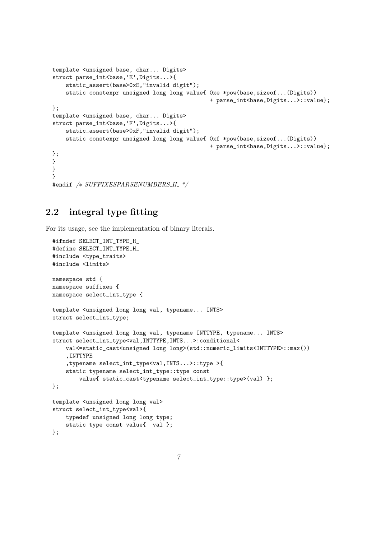```
template <unsigned base, char... Digits>
struct parse_int<br/>base,'E',Digits...>{
    static_assert(base>0xE,"invalid digit");
    static constexpr unsigned long long value{ 0xe *pow(base,sizeof...(Digits))
                                                + parse_int<br/>base,Digits...>::value};
};
template <unsigned base, char... Digits>
struct parse_int<br/>base,'F',Digits...>{
    static_assert(base>0xF,"invalid digit");
    static constexpr unsigned long long value{ 0xf *pow(base,sizeof...(Digits))
                                                + parse_int<base,Digits...>::value};
};
}
}
}
#endif /* SUFFIXESPARSENUMBERS_H_ */
```
#### 2.2 integral type fitting

For its usage, see the implementation of binary literals.

```
#ifndef SELECT_INT_TYPE_H_
#define SELECT_INT_TYPE_H_
#include <type_traits>
#include <limits>
namespace std {
namespace suffixes {
namespace select_int_type {
template <unsigned long long val, typename... INTS>
struct select_int_type;
template <unsigned long long val, typename INTTYPE, typename... INTS>
struct select_int_type<val,INTTYPE,INTS...>:conditional<
    val<=static_cast<unsigned long long>(std::numeric_limits<INTTYPE>::max())
    ,INTTYPE
    ,typename select_int_type<val,INTS...>::type >{
    static typename select_int_type::type const
        value{ static_cast<typename select_int_type::type>(val) };
};
template <unsigned long long val>
struct select_int_type<val>{
    typedef unsigned long long type;
    static type const value{ val };
};
```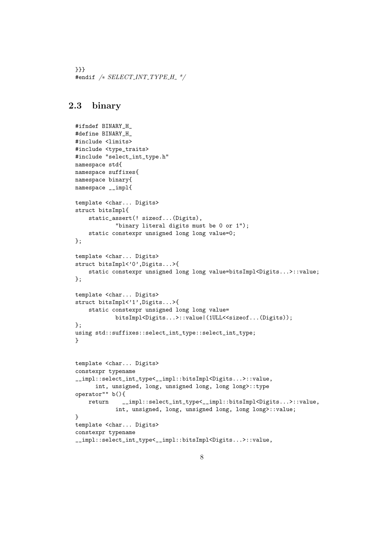```
}}}
#endif /* SELECT_INT_TYPE_H_ */
```
## 2.3 binary

```
#ifndef BINARY_H_
#define BINARY_H_
#include <limits>
#include <type_traits>
#include "select_int_type.h"
namespace std{
namespace suffixes{
namespace binary{
namespace __impl{
template <char... Digits>
struct bitsImpl{
    static_assert(! sizeof...(Digits),
            "binary literal digits must be 0 or 1");
    static constexpr unsigned long long value=0;
};
template <char... Digits>
struct bitsImpl<'0',Digits...>{
    static constexpr unsigned long long value=bitsImpl<Digits...>::value;
};
template <char... Digits>
struct bitsImpl<'1',Digits...>{
    static constexpr unsigned long long value=
            bitsImpl<Digits...>::value|(1ULL<<sizeof...(Digits));
};
using std::suffixes::select_int_type::select_int_type;
}
template <char... Digits>
constexpr typename
__impl::select_int_type<__impl::bitsImpl<Digits...>::value,
      int, unsigned, long, unsigned long, long long>::type
operator"" b(){
    return __impl::select_int_type<__impl::bitsImpl<Digits...>::value,
            int, unsigned, long, unsigned long, long long>::value;
}
template <char... Digits>
constexpr typename
__impl::select_int_type<__impl::bitsImpl<Digits...>::value,
```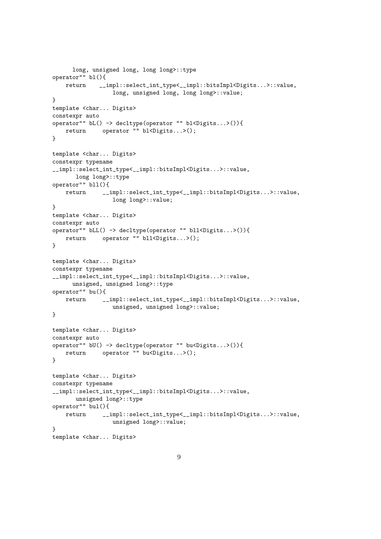```
long, unsigned long, long long>::type
operator"" bl(){
   return __impl::select_int_type<__impl::bitsImpl<Digits...>::value,
                 long, unsigned long, long long>::value;
}
template <char... Digits>
constexpr auto
operator"" bL() -> decltype(operator "" bl<Digits...>()){
   return operator "" bl<Digits...>();
}
template <char... Digits>
constexpr typename
__impl::select_int_type<__impl::bitsImpl<Digits...>::value,
      long long>::type
operator"" bll(){
   return __impl::select_int_type<__impl::bitsImpl<Digits...>::value,
                long long>::value;
}
template <char... Digits>
constexpr auto
operator"" bLL() -> decltype(operator "" bll<Digits...>()){
   return operator "" bll<Digits...>();
}
template <char... Digits>
constexpr typename
__impl::select_int_type<__impl::bitsImpl<Digits...>::value,
     unsigned, unsigned long>::type
operator"" bu(){
   return __impl::select_int_type<__impl::bitsImpl<Digits...>::value,
                 unsigned, unsigned long>::value;
}
template <char... Digits>
constexpr auto
operator"" bU() -> decltype(operator "" bu<Digits...>()){
   return operator "" bu<Digits...>();
}
template <char... Digits>
constexpr typename
__impl::select_int_type<__impl::bitsImpl<Digits...>::value,
      unsigned long>::type
operator"" bul(){
   return __impl::select_int_type<__impl::bitsImpl<Digits...>::value,
                 unsigned long>::value;
}
template <char... Digits>
```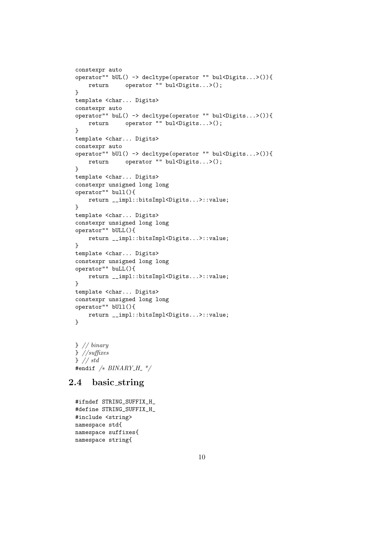```
constexpr auto
operator"" bUL() -> decltype(operator "" bul<Digits...>()){
    return operator "" bul<Digits...>();
}
template <char... Digits>
constexpr auto
operator"" buL() -> decltype(operator "" bul<Digits...>()){
   return operator "" bul<Digits...>();
}
template <char... Digits>
constexpr auto
operator"" bUl() -> decltype(operator "" bul<Digits...>()){
    return operator "" bul<Digits...>();
}
template <char... Digits>
constexpr unsigned long long
operator"" bull(){
   return __impl::bitsImpl<Digits...>::value;
}
template <char... Digits>
constexpr unsigned long long
operator"" bULL(){
   return __impl::bitsImpl<Digits...>::value;
}
template <char... Digits>
constexpr unsigned long long
operator"" buLL(){
    return __impl::bitsImpl<Digits...>::value;
}
template <char... Digits>
constexpr unsigned long long
operator"" bUll(){
   return __impl::bitsImpl<Digits...>::value;
}
```
} // binary } //suffixes } // std #endif  $/* BINARY_H$  \*/

### 2.4 basic string

```
#ifndef STRING_SUFFIX_H_
#define STRING_SUFFIX_H_
#include <string>
namespace std{
namespace suffixes{
namespace string{
```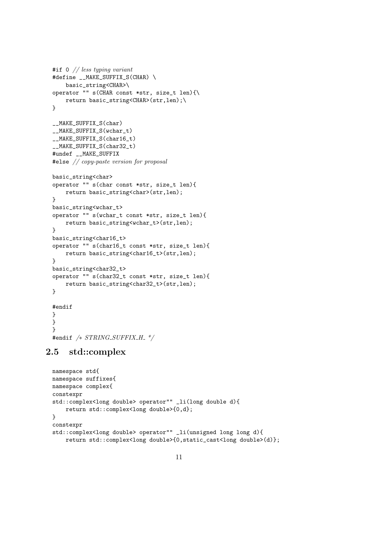```
#if \circ // less typing variant
#define __MAKE_SUFFIX_S(CHAR) \setminusbasic_string<CHAR>\
operator "" s(CHAR const *str, size_t len){\
   return basic_string<CHAR>(str,len);\
}
__MAKE_SUFFIX_S(char)
__MAKE_SUFFIX_S(wchar_t)
__MAKE_SUFFIX_S(char16_t)
__MAKE_SUFFIX_S(char32_t)
#undef __MAKE_SUFFIX
#else // copy-paste version for proposal
basic_string<char>
operator "" s(char const *str, size_t len){
    return basic_string<char>(str,len);
}
basic_string<wchar_t>
operator "" s(wchar_t const *str, size_t len){
   return basic_string<wchar_t>(str,len);
}
basic_string<char16_t>
operator "" s(char16_t const *str, size_t len){
    return basic_string<char16_t>(str,len);
}
basic_string<char32_t>
operator "" s(char32_t const *str, size_t len){
    return basic_string<char32_t>(str,len);
}
#endif
}
}
```
#### 2.5 std::complex

#endif  $/* STRING\_SUFFIX_H. */$ 

}

```
namespace std{
namespace suffixes{
namespace complex{
constexpr
std::complex<long double> operator"" _li(long double d){
    return std::complex<long double>{0,d};
}
constexpr
std::complex<long double> operator"" _li(unsigned long long d){
    return std::complex<long double>{0,static_cast<long double>(d)};
```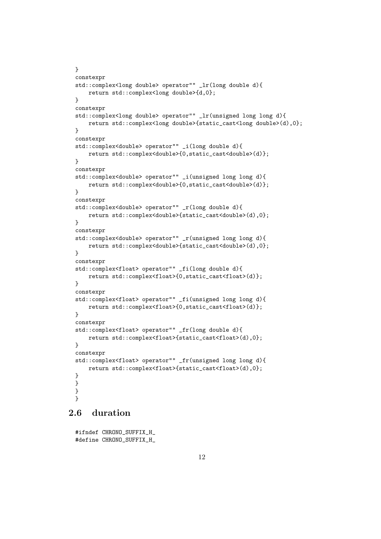```
}
constexpr
std::complex<long double> operator"" _lr(long double d){
   return std::complex<long double>{d,0};
}
constexpr
std::complex<long double> operator"" _lr(unsigned long long d){
   return std::complex<long double>{static_cast<long double>(d),0};
}
constexpr
std::complex<double> operator"" _i(long double d){
    return std::complex<double>{0,static_cast<double>(d)};
}
constexpr
std::complex<double> operator"" _i(unsigned long long d){
    return std::complex<double>{0,static_cast<double>(d)};
}
constexpr
std::complex<double> operator"" _r(long double d){
   return std::complex<double>{static_cast<double>(d),0};
}
constexpr
std::complex<double> operator"" _r(unsigned long long d){
   return std::complex<double>{static_cast<double>(d),0};
}
constexpr
std::complex<float> operator"" _fi(long double d){
    return std::complex<float>{0,static_cast<float>(d)};
}
constexpr
std::complex<float> operator"" _fi(unsigned long long d){
   return std::complex<float>{0,static_cast<float>(d)};
}
constexpr
std::complex<float> operator"" _fr(long double d){
   return std::complex<float>{static_cast<float>(d),0};
}
constexpr
std::complex<float> operator"" _fr(unsigned long long d){
   return std::complex<float>{static_cast<float>(d),0};
}
}
}
}
```
## 2.6 duration

```
#ifndef CHRONO_SUFFIX_H_
#define CHRONO_SUFFIX_H_
```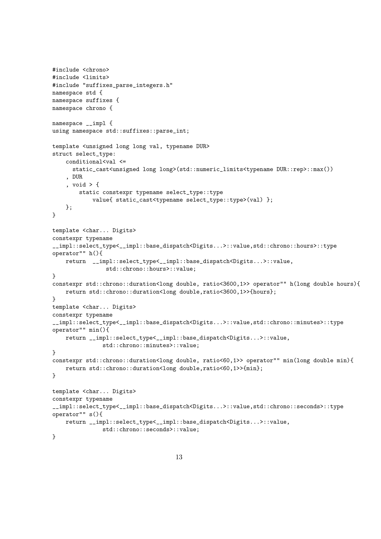```
#include <chrono>
#include <limits>
#include "suffixes_parse_integers.h"
namespace std {
namespace suffixes {
namespace chrono {
namespace __impl {
using namespace std::suffixes::parse_int;
template <unsigned long long val, typename DUR>
struct select_type:
   conditional<val <=
      static_cast<unsigned long long>(std::numeric_limits<typename DUR::rep>::max())
    , DUR
    , void > {
        static constexpr typename select_type::type
            value{ static_cast<typename select_type::type>(val) };
   };
}
template <char... Digits>
constexpr typename
__impl::select_type<__impl::base_dispatch<Digits...>::value,std::chrono::hours>::type
operator"" h(){
   return __impl::select_type<__impl::base_dispatch<Digits...>::value,
                std::chrono::hours>::value;
}
constexpr std::chrono::duration<long double, ratio<3600,1>> operator"" h(long double hours){
   return std::chrono::duration<long double,ratio<3600,1>>{hours};
}
template <char... Digits>
constexpr typename
__impl::select_type<__impl::base_dispatch<Digits...>::value,std::chrono::minutes>::type
operator"" min(){
   return __impl::select_type<__impl::base_dispatch<Digits...>::value,
               std::chrono::minutes>::value;
}
constexpr std::chrono::duration<long double, ratio<60,1>> operator"" min(long double min){
   return std::chrono::duration<long double,ratio<60,1>>{min};
}
template <char... Digits>
constexpr typename
__impl::select_type<__impl::base_dispatch<Digits...>::value,std::chrono::seconds>::type
operator"" s(){
   return __impl::select_type<__impl::base_dispatch<Digits...>::value,
               std::chrono::seconds>::value;
}
```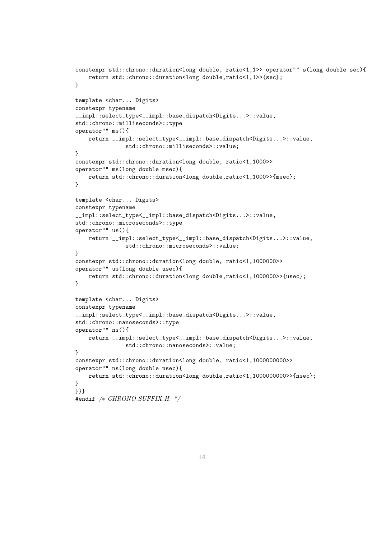```
constexpr std::chrono::duration<long double, ratio<1,1>> operator"" s(long double sec){
    return std::chrono::duration<long double,ratio<1,1>>{sec};
}
template <char... Digits>
constexpr typename
__impl::select_type<__impl::base_dispatch<Digits...>::value,
std::chrono::milliseconds>::type
operator"" ms(){
    return __impl::select_type<__impl::base_dispatch<Digits...>::value,
               std::chrono::milliseconds>::value;
}
constexpr std::chrono::duration<long double, ratio<1,1000>>
operator"" ms(long double msec){
    return std::chrono::duration<long double,ratio<1,1000>>{msec};
}
template <char... Digits>
constexpr typename
__impl::select_type<__impl::base_dispatch<Digits...>::value,
std::chrono::microseconds>::type
operator"" us(){
   return __impl::select_type<__impl::base_dispatch<Digits...>::value,
               std::chrono::microseconds>::value;
}
constexpr std::chrono::duration<long double, ratio<1,1000000>>
operator"" us(long double usec){
    return std::chrono::duration<long double,ratio<1,1000000>>{usec};
}
template <char... Digits>
constexpr typename
__impl::select_type<__impl::base_dispatch<Digits...>::value,
std::chrono::nanoseconds>::type
operator"" ns(){
   return __impl::select_type<__impl::base_dispatch<Digits...>::value,
               std::chrono::nanoseconds>::value;
}
constexpr std::chrono::duration<long double, ratio<1,1000000000>>
operator"" ns(long double nsec){
    return std::chrono::duration<long double,ratio<1,1000000000>>{nsec};
}
}}}
#endif /* CHRONO_SUFFIX_H_*/
```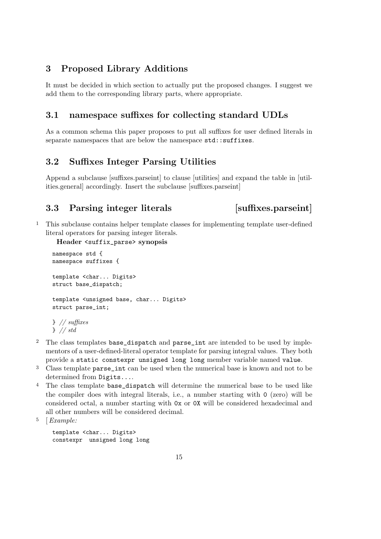## 3 Proposed Library Additions

It must be decided in which section to actually put the proposed changes. I suggest we add them to the corresponding library parts, where appropriate.

## 3.1 namespace suffixes for collecting standard UDLs

As a common schema this paper proposes to put all suffixes for user defined literals in separate namespaces that are below the namespace  $std::suffixes$ .

## 3.2 Suffixes Integer Parsing Utilities

Append a subclause [suffixes.parseint] to clause [utilities] and expand the table in [utilities.general] accordingly. Insert the subclause [suffixes.parseint]

## 3.3 Parsing integer literals [suffixes.parseint]

1 This subclause contains helper template classes for implementing template user-defined literal operators for parsing integer literals.

Header <suffix\_parse> synopsis

```
namespace std {
namespace suffixes {
template <char... Digits>
struct base_dispatch;
template <unsigned base, char... Digits>
struct parse_int;
} // suffixes
} // std
```
- <sup>2</sup> The class templates base\_dispatch and parse\_int are intended to be used by implementors of a user-defined-literal operator template for parsing integral values. They both provide a static constexpr unsigned long long member variable named value.
- <sup>3</sup> Class template parse\_int can be used when the numerical base is known and not to be determined from Digits....
- <sup>4</sup> The class template base\_dispatch will determine the numerical base to be used like the compiler does with integral literals, i.e., a number starting with 0 (zero) will be considered octal, a number starting with 0x or 0X will be considered hexadecimal and all other numbers will be considered decimal.
- 5 [Example:

template <char... Digits> constexpr unsigned long long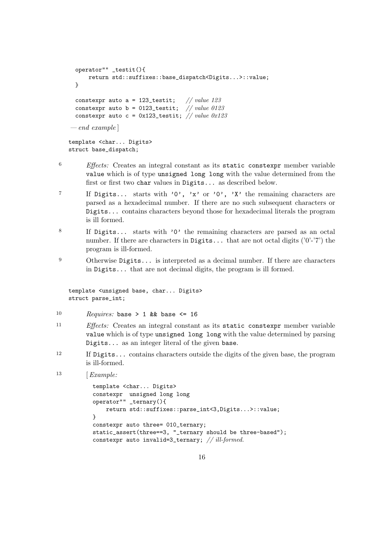```
operator"" _testit(){
      return std::suffixes::base_dispatch<Digits...>::value;
 }
 constexpr auto a = 123_testit; // value 123constexpr auto b = 0123_testit; // value 0123
 constexpr auto c = 0x123_testit; // value 0x123-e<sub>nd</sub> exampletemplate <char... Digits>
struct base_dispatch;
```
- <sup>6</sup> Effects: Creates an integral constant as its static constexpr member variable value which is of type unsigned long long with the value determined from the first or first two char values in Digits... as described below.
- 7 If Digits... starts with '0', 'x' or '0', 'X' the remaining characters are parsed as a hexadecimal number. If there are no such subsequent characters or Digits... contains characters beyond those for hexadecimal literals the program is ill formed.
- <sup>8</sup> If Digits... starts with '0' the remaining characters are parsed as an octal number. If there are characters in Digits... that are not octal digits  $(0^{\circ}$ -'7') the program is ill-formed.
- <sup>9</sup> Otherwise Digits... is interpreted as a decimal number. If there are characters in Digits... that are not decimal digits, the program is ill formed.

```
template <unsigned base, char... Digits>
struct parse_int;
```
- 10 Requires: base > 1 && base <= 16
- <sup>11</sup> Effects: Creates an integral constant as its static constexpr member variable value which is of type unsigned long long with the value determined by parsing Digits... as an integer literal of the given base.
- <sup>12</sup> If Digits... contains characters outside the digits of the given base, the program is ill-formed.
- $13$  [*Example:*

```
template <char... Digits>
constexpr unsigned long long
operator"" _ternary(){
    return std::suffixes::parse_int<3,Digits...>::value;
}
constexpr auto three= 010_ternary;
static_assert(three==3, "_ternary should be three-based");
constexpr auto invalid=3_ternary; // ill-formed.
```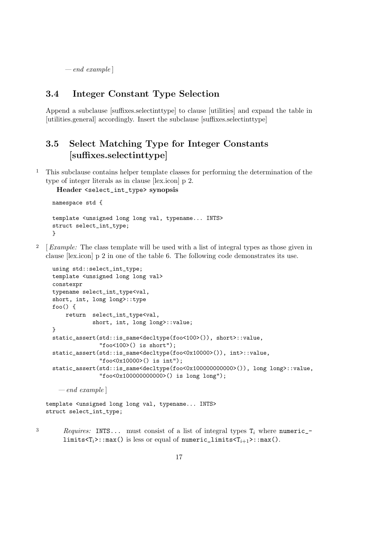$-e<sub>nd</sub> example$ 

#### 3.4 Integer Constant Type Selection

Append a subclause [suffixes.selectinttype] to clause [utilities] and expand the table in [utilities.general] accordingly. Insert the subclause [suffixes.selectinttype]

# 3.5 Select Matching Type for Integer Constants [suffixes.selectinttype]

1 This subclause contains helper template classes for performing the determination of the type of integer literals as in clause [lex.icon] p 2.

```
Header <select_int_type> synopsis
```

```
namespace std {
template <unsigned long long val, typename... INTS>
struct select_int_type;
}
```
<sup>2</sup>  $\left[ \textit{Example:} \right]$  The class template will be used with a list of integral types as those given in clause [lex.icon] p 2 in one of the table 6. The following code demonstrates its use.

```
using std::select_int_type;
template <unsigned long long val>
constexpr
typename select_int_type<val,
short, int, long long>::type
foo() {
   return select_int_type<val,
           short, int, long long>::value;
}
static_assert(std::is_same<decltype(foo<100>()), short>::value,
              "foo<100>() is short");
static_assert(std::is_same<decltype(foo<0x10000>()), int>::value,
              "foo<0x10000>() is int");
static_assert(std::is_same<decltype(foo<0x10000000000000)), long long>::value,
              "foo<0x100000000000>() is long long");
```
 $-e<sub>nd</sub>$  example

```
template <unsigned long long val, typename... INTS>
struct select_int_type;
```
 $3$  Requires: INTS... must consist of a list of integral types  $T_i$  where numeric\_ limits< $T_i$ >::max() is less or equal of numeric\_limits< $T_{i+1}$ >::max().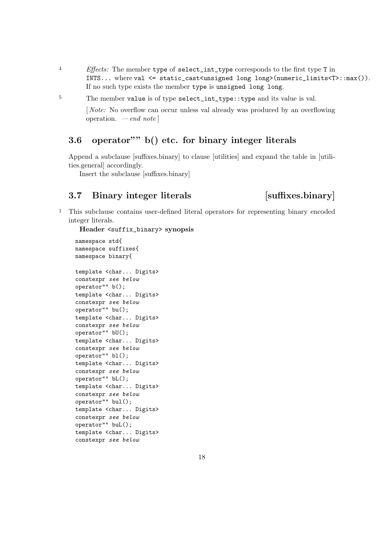<sup>4</sup> Effects: The member type of select\_int\_type corresponds to the first type T in INTS... where val <= static\_cast<unsigned long long>(numeric\_limits<T>::max()). If no such type exists the member type is unsigned long long.

<sup>5</sup> The member value is of type select\_int\_type::type and its value is val.

[ Note: No overflow can occur unless val already was produced by an overflowing operation.  $\,-\,end\,$  note

## 3.6 operator"" b() etc. for binary integer literals

Append a subclause [suffixes.binary] to clause [utilities] and expand the table in [utilities.general] accordingly.

Insert the subclause [suffixes.binary]

# 3.7 Binary integer literals [suffixes.binary]

1 This subclause contains user-defined literal operators for representing binary encoded integer literals.

Header <suffix\_binary> synopsis

```
namespace std{
namespace suffixes{
namespace binary{
template <char... Digits>
constexpr see below
operator"" b();
template <char... Digits>
constexpr see below
operator"" bu();
template <char... Digits>
constexpr see below
operator"" bU();
template <char... Digits>
constexpr see below
operator"" bl();
template <char... Digits>
constexpr see below
operator"" bL();
template <char... Digits>
constexpr see below
operator"" bul();
template <char... Digits>
constexpr see below
operator"" buL();
template <char... Digits>
constexpr see below
```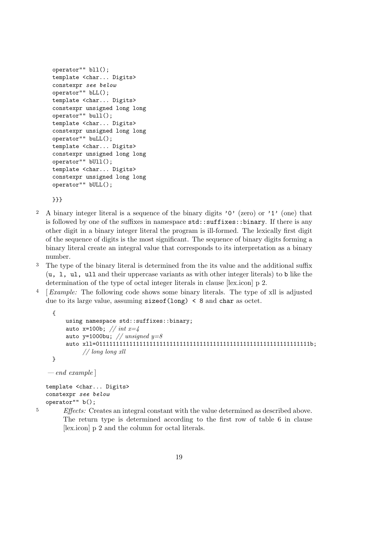```
operator"" bll();
template <char... Digits>
constexpr see below
operator"" bLL();
template <char... Digits>
constexpr unsigned long long
operator"" bull();
template <char... Digits>
constexpr unsigned long long
operator"" buLL();
template <char... Digits>
constexpr unsigned long long
operator"" bUll();
template <char... Digits>
constexpr unsigned long long
operator"" bULL();
```
}}}

- <sup>2</sup> A binary integer literal is a sequence of the binary digits '0' (zero) or '1' (one) that is followed by one of the suffixes in namespace  $\text{std}$ :: $\text{suffixes::binary}$ . If there is any other digit in a binary integer literal the program is ill-formed. The lexically first digit of the sequence of digits is the most significant. The sequence of binary digits forming a binary literal create an integral value that corresponds to its interpretation as a binary number.
- 3 The type of the binary literal is determined from the its value and the additional suffix (u, l, ul, ull and their uppercase variants as with other integer literals) to b like the determination of the type of octal integer literals in clause [lex.icon] p 2.
- 4 [Example: The following code shows some binary literals. The type of xll is adjusted due to its large value, assuming  $\text{sizeof}(\text{long}) \leq 8$  and char as octet.

```
{
    using namespace std::suffixes::binary;
    auto x=100b; // int x=4auto y=1000bu; // unsigned y=8auto xll=0111111111111111111111111111111111111111111111111111111111111111b;
         // long long xll
}
```

```
-e<sub>nd</sub> example
```
template <char... Digits> constexpr see below operator"" b();

<sup>5</sup> Effects: Creates an integral constant with the value determined as described above. The return type is determined according to the first row of table 6 in clause [lex.icon] p 2 and the column for octal literals.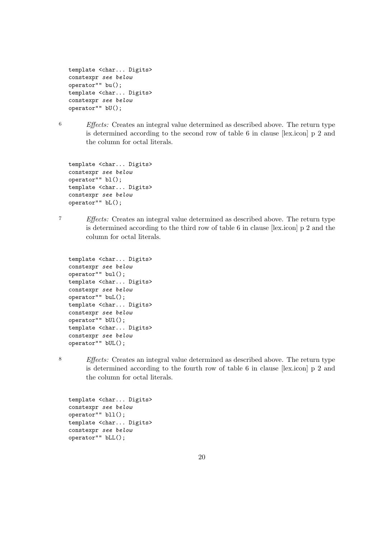```
template <char... Digits>
constexpr see below
operator"" bu();
template <char... Digits>
constexpr see below
operator"" bU();
```
6 Effects: Creates an integral value determined as described above. The return type is determined according to the second row of table 6 in clause [lex.icon] p 2 and the column for octal literals.

template <char... Digits> constexpr see below operator"" bl(); template <char... Digits> constexpr see below operator"" bL();

7 Effects: Creates an integral value determined as described above. The return type is determined according to the third row of table 6 in clause [lex.icon] p 2 and the column for octal literals.

```
template <char... Digits>
constexpr see below
operator"" bul();
template <char... Digits>
constexpr see below
operator"" buL();
template <char... Digits>
constexpr see below
operator"" bUl();
template <char... Digits>
constexpr see below
operator"" bUL();
```
8 Effects: Creates an integral value determined as described above. The return type is determined according to the fourth row of table 6 in clause [lex.icon] p 2 and the column for octal literals.

template <char... Digits> constexpr see below operator"" bll(); template <char... Digits> constexpr see below operator"" bLL();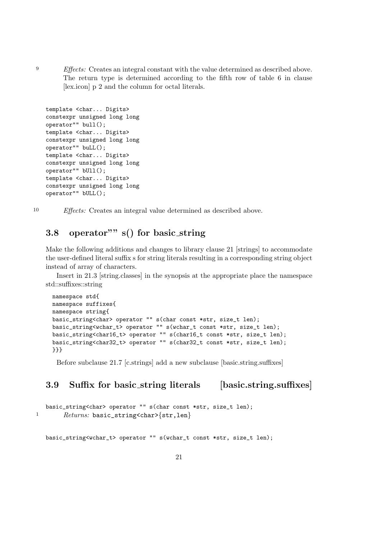<sup>9</sup> Effects: Creates an integral constant with the value determined as described above. The return type is determined according to the fifth row of table 6 in clause [lex.icon] p 2 and the column for octal literals.

```
template <char... Digits>
constexpr unsigned long long
operator"" bull();
template <char... Digits>
constexpr unsigned long long
operator"" buLL();
template <char... Digits>
constexpr unsigned long long
operator"" bUll();
template <char... Digits>
constexpr unsigned long long
operator"" bULL();
```
10 Effects: Creates an integral value determined as described above.

# 3.8 operator"" s() for basic\_string

Make the following additions and changes to library clause 21 [strings] to accommodate the user-defined literal suffix s for string literals resulting in a corresponding string object instead of array of characters.

Insert in 21.3 [string.classes] in the synopsis at the appropriate place the namespace std::suffixes::string

```
namespace std{
namespace suffixes{
namespace string{
basic_string<char> operator "" s(char const *str, size_t len);
basic_string<wchar_t> operator "" s(wchar_t const *str, size_t len);
basic_string<char16_t> operator "" s(char16_t const *str, size_t len);
basic_string<char32_t> operator "" s(char32_t const *str, size_t len);
}}}
```
Before subclause 21.7 [c.strings] add a new subclause [basic.string.suffixes]

# 3.9 Suffix for basic\_string literals [basic.string.suffixes]

```
basic_string<char> operator "" s(char const *str, size_t len);
1 Returns: basic_string<char>{str,len}
```
basic\_string<wchar\_t> operator "" s(wchar\_t const \*str, size\_t len);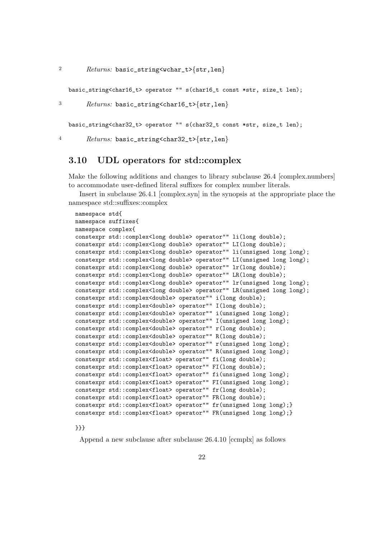2  $P_{\text{returns: basic\_string} < w \text{char}_b \text{str,len}}$ 

basic\_string<char16\_t> operator "" s(char16\_t const \*str, size\_t len);

<sup>3</sup> Returns: basic\_string<char16\_t>{str,len}

basic\_string<char32\_t> operator "" s(char32\_t const \*str, size\_t len);

4 Returns: basic\_string<char32\_t>{str,len}

#### 3.10 UDL operators for std::complex

Make the following additions and changes to library subclause 26.4 [complex.numbers] to accommodate user-defined literal suffixes for complex number literals.

Insert in subclause 26.4.1 [complex.syn] in the synopsis at the appropriate place the namespace std::suffixes::complex

```
namespace std{
namespace suffixes{
namespace complex{
constexpr std::complex<long double> operator"" li(long double);
constexpr std::complex<long double> operator"" LI(long double);
constexpr std::complex<long double> operator"" li(unsigned long long);
constexpr std::complex<long double> operator"" LI(unsigned long long);
constexpr std::complex<long double> operator"" lr(long double);
constexpr std::complex<long double> operator"" LR(long double);
constexpr std::complex<long double> operator"" lr(unsigned long long);
constexpr std::complex<long double> operator"" LR(unsigned long long);
constexpr std::complex<double> operator"" i(long double);
constexpr std::complex<double> operator"" I(long double);
constexpr std::complex<double> operator"" i(unsigned long long);
constexpr std::complex<double> operator"" I(unsigned long long);
constexpr std::complex<double> operator"" r(long double);
constexpr std::complex<double> operator"" R(long double);
constexpr std::complex<double> operator"" r(unsigned long long);
constexpr std::complex<double> operator"" R(unsigned long long);
constexpr std::complex<float> operator"" fi(long double);
constexpr std::complex<float> operator"" FI(long double);
constexpr std::complex<float> operator"" fi(unsigned long long);
constexpr std::complex<float> operator"" FI(unsigned long long);
constexpr std::complex<float> operator"" fr(long double);
constexpr std::complex<float> operator"" FR(long double);
constexpr std::complex<float> operator"" fr(unsigned long long);}
constexpr std::complex<float> operator"" FR(unsigned long long);}
```
}}}

Append a new subclause after subclause 26.4.10 [ccmplx] as follows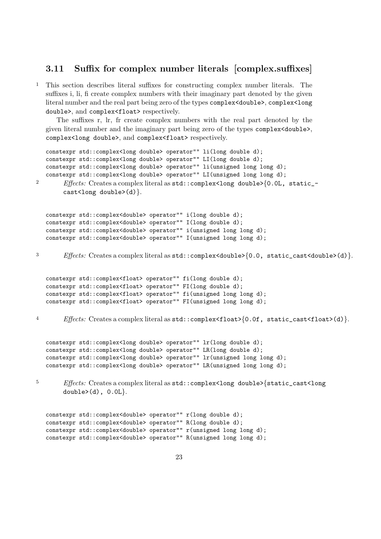#### 3.11 Suffix for complex number literals [complex.suffixes]

1 This section describes literal suffixes for constructing complex number literals. The suffixes i, li, fi create complex numbers with their imaginary part denoted by the given literal number and the real part being zero of the types complex<double>, complex<long double>, and complex<float> respectively.

The suffixes r, lr, fr create complex numbers with the real part denoted by the given literal number and the imaginary part being zero of the types complex<double>, complex<long double>, and complex<float> respectively.

```
constexpr std::complex<long double> operator"" li(long double d);
   constexpr std::complex<long double> operator"" LI(long double d);
  constexpr std::complex<long double> operator"" li(unsigned long long d);
  constexpr std::complex<long double> operator"" LI(unsigned long long d);
2 Effects: Creates a complex literal as std:: complex<long double>{0.0L, static_-
        cast<long double>(d).
   constexpr std::complex<double> operator"" i(long double d);
   constexpr std::complex<double> operator"" I(long double d);
   constexpr std::complex<double> operator"" i(unsigned long long d);
  constexpr std::complex<double> operator"" I(unsigned long long d);
3 Effects: Creates a complex literal as \text{std}: complex<double>{0.0, static_cast<double>(d)}.
  constexpr std::complex<float> operator"" fi(long double d);
  constexpr std::complex<float> operator"" FI(long double d);
  constexpr std::complex<float> operator"" fi(unsigned long long d);
   constexpr std::complex<float> operator"" FI(unsigned long long d);
4 Effects: Creates a complex literal as std::complex<float>{0.0f, static_cast<float>(d)}.
  constexpr std::complex<long double> operator"" lr(long double d);
   constexpr std::complex<long double> operator"" LR(long double d);
  constexpr std::complex<long double> operator"" lr(unsigned long long d);
  constexpr std::complex<long double> operator"" LR(unsigned long long d);
5 Effects: Creates a complex literal as std::complex<long double>{static_cast<long
        double>(d), 0.0L.
```

```
constexpr std::complex<double> operator"" r(long double d);
constexpr std::complex<double> operator"" R(long double d);
constexpr std::complex<double> operator"" r(unsigned long long d);
constexpr std::complex<double> operator"" R(unsigned long long d);
```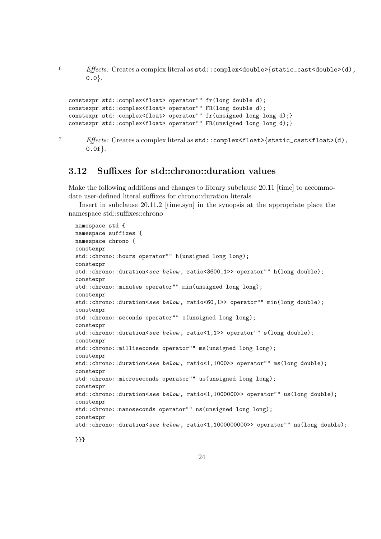6  $Effects:$  Creates a complex literal as  $std::complex$ <double>{static\_cast<double>(d),  $0.0$ .

```
constexpr std::complex<float> operator"" fr(long double d);
constexpr std::complex<float> operator"" FR(long double d);
constexpr std::complex<float> operator"" fr(unsigned long long d);}
constexpr std::complex<float> operator"" FR(unsigned long long d);}
```

```
7 Effects: Creates a complex literal as std::complex\times float>\{static\_cast<float>\}(d),
        0.0f.
```
#### 3.12 Suffixes for std::chrono::duration values

Make the following additions and changes to library subclause 20.11 [time] to accommodate user-defined literal suffixes for chrono::duration literals.

Insert in subclause 20.11.2 [time.syn] in the synopsis at the appropriate place the namespace std::suffixes::chrono

```
namespace std {
namespace suffixes {
namespace chrono {
constexpr
std::chrono::hours operator"" h(unsigned long long);
constexpr
std::chrono::duration<see below, ratio<3600,1>> operator"" h(long double);
constexpr
std::chrono::minutes operator"" min(unsigned long long);
constexpr
std::chrono::duration<see below, ratio<60,1>> operator"" min(long double);
constexpr
std::chrono::seconds operator"" s(unsigned long long);
constexpr
std::chrono::duration<see below, ratio<1,1>> operator"" s(long double);
constexpr
std::chrono::milliseconds operator"" ms(unsigned long long);
constexpr
std::chrono::duration<see below, ratio<1,1000>> operator"" ms(long double);
constexpr
std::chrono::microseconds operator"" us(unsigned long long);
constexpr
std::chrono::duration<see below, ratio<1,1000000>> operator"" us(long double);
constexpr
std::chrono::nanoseconds operator"" ns(unsigned long long);
constexpr
std::chrono::duration<see below, ratio<1,1000000000>> operator"" ns(long double);
```
}}}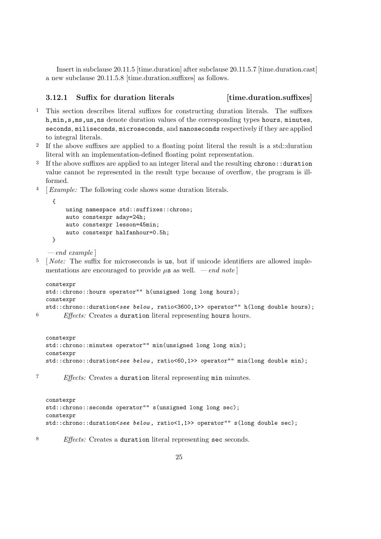Insert in subclause 20.11.5 [time.duration] after subclause 20.11.5.7 [time.duration.cast] a new subclause 20.11.5.8 [time.duration.suffixes] as follows.

#### 3.12.1 Suffix for duration literals [time.duration.suffixes]

- 1 This section describes literal suffixes for constructing duration literals. The suffixes h,min,s,ms,us,ns denote duration values of the corresponding types hours, minutes, seconds, miliseconds, microseconds, and nanoseconds respectively if they are applied to integral literals.
- 2 If the above suffixes are applied to a floating point literal the result is a std::duration literal with an implementation-defined floating point representation.
- <sup>3</sup> If the above suffixes are applied to an integer literal and the resulting chrono::duration value cannot be represented in the result type because of overflow, the program is illformed.
- 4 [Example: The following code shows some duration literals.

```
{
   using namespace std::suffixes::chrono;
   auto constexpr aday=24h;
   auto constexpr lesson=45min;
    auto constexpr halfanhour=0.5h;
```
 $-e<sub>nd</sub> example$ 

}

 $5 \quad [Note: The suffix for microseconds is us, but if unicode identifiers are allowed imple$ mentations are encouraged to provide  $\mu$ s as well. — end note

```
constexpr
std::chrono::hours operator"" h(unsigned long long hours);
constexpr
std::chrono::duration<see below, ratio<3600,1>> operator"" h(long double hours);
```
<sup>6</sup> Effects: Creates a duration literal representing hours hours.

```
constexpr
std::chrono::minutes operator"" min(unsigned long long min);
constexpr
std::chrono::duration<see below, ratio<60,1>> operator"" min(long double min);
```
<sup>7</sup> Effects: Creates a duration literal representing min minutes.

```
constexpr
std::chrono::seconds operator"" s(unsigned long long sec);
constexpr
std::chrono::duration<see below, ratio<1,1>> operator"" s(long double sec);
```
<sup>8</sup> Effects: Creates a duration literal representing sec seconds.